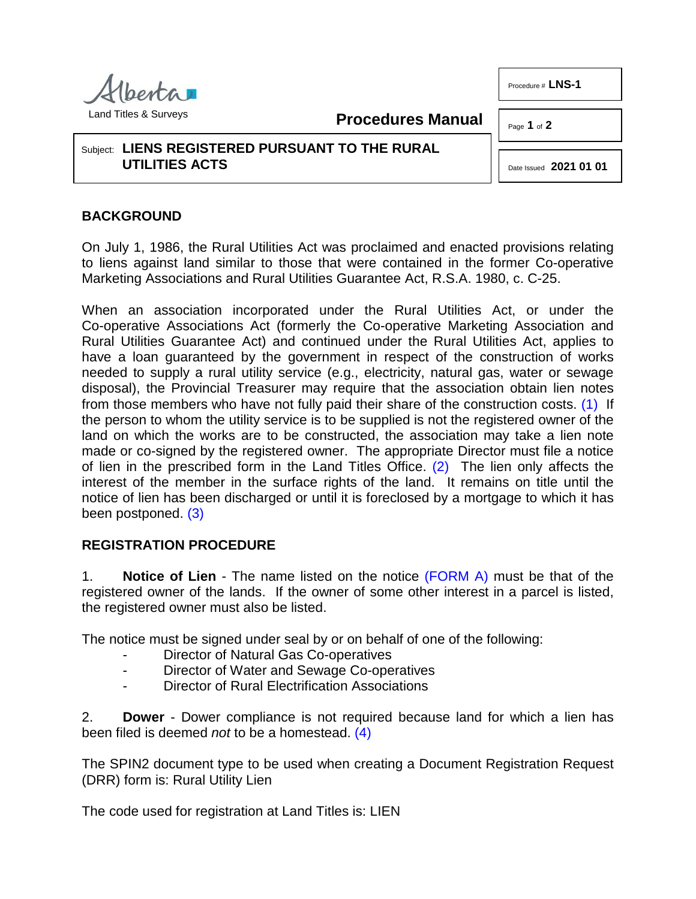

**Procedures Manual**

Page **1** of **2** 

Procedure # **LNS-1**

## Subject: **LIENS REGISTERED PURSUANT TO THE RURAL UTILITIES ACTS**

<span id="page-0-1"></span><span id="page-0-0"></span>Date Issued **2021 01 01**

## **BACKGROUND**

On July 1, 1986, the Rural Utilities Act was proclaimed and enacted provisions relating to liens against land similar to those that were contained in the former Co-operative Marketing Associations and Rural Utilities Guarantee Act, R.S.A. 1980, c. C-25.

When an association incorporated under the Rural Utilities Act, or under the Co-operative Associations Act (formerly the Co-operative Marketing Association and Rural Utilities Guarantee Act) and continued under the Rural Utilities Act, applies to have a loan guaranteed by the government in respect of the construction of works needed to supply a rural utility service (e.g., electricity, natural gas, water or sewage disposal), the Provincial Treasurer may require that the association obtain lien notes from those members who have not fully paid their share of the construction costs. [\(1\)](#page-1-0) If the person to whom the utility service is to be supplied is not the registered owner of the land on which the works are to be constructed, the association may take a lien note made or co-signed by the registered owner. The appropriate Director must file a notice of lien in the prescribed form in the Land Titles Office. [\(2\)](#page-1-1) The lien only affects the interest of the member in the surface rights of the land. It remains on title until the notice of lien has been discharged or until it is foreclosed by a mortgage to which it has been postponed. [\(3\)](#page-1-2)

## <span id="page-0-2"></span>**REGISTRATION PROCEDURE**

1. **Notice of Lien** - The name listed on the notice [\(FORM A\)](http://www.servicealberta.ca/pdf/ltmanual/LNS-1-FORMA.pdf) must be that of the registered owner of the lands. If the owner of some other interest in a parcel is listed, the registered owner must also be listed.

The notice must be signed under seal by or on behalf of one of the following:

- Director of Natural Gas Co-operatives
- Director of Water and Sewage Co-operatives
- <span id="page-0-3"></span>Director of Rural Electrification Associations

2. **Dower** - Dower compliance is not required because land for which a lien has been filed is deemed *not* to be a homestead. [\(4\)](#page-1-3)

The SPIN2 document type to be used when creating a Document Registration Request (DRR) form is: Rural Utility Lien

The code used for registration at Land Titles is: LIEN